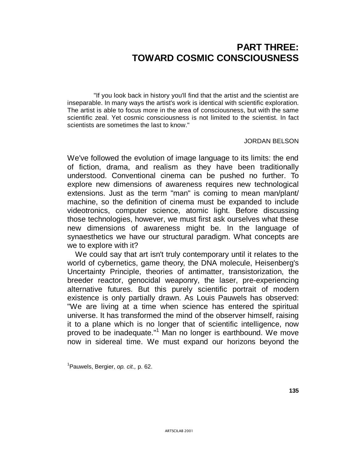# **PART THREE: TOWARD COSMIC CONSCIOUSNESS**

"If you look back in history you'll find that the artist and the scientist are inseparable. In many ways the artist's work is identical with scientific exploration. The artist is able to focus more in the area of consciousness, but with the same scientific zeal. Yet cosmic consciousness is not limited to the scientist. In fact scientists are sometimes the last to know."

### JORDAN BELSON

We've followed the evolution of image language to its limits: the end of fiction, drama, and realism as they have been traditionally understood. Conventional cinema can be pushed no further. To explore new dimensions of awareness requires new technological extensions. Just as the term "man" is coming to mean man/plant/ machine, so the definition of cinema must be expanded to include videotronics, computer science, atomic light. Before discussing those technologies, however, we must first ask ourselves what these new dimensions of awareness might be. In the language of synaesthetics we have our structural paradigm. What concepts are we to explore with it?

We could say that art isn't truly contemporary until it relates to the world of cybernetics, game theory, the DNA molecule, Heisenberg's Uncertainty Principle, theories of antimatter, transistorization, the breeder reactor, genocidal weaponry, the laser, pre-experiencing alternative futures. But this purely scientific portrait of modern existence is only partially drawn. As Louis Pauwels has observed: "We are living at a time when science has entered the spiritual universe. It has transformed the mind of the observer himself, raising it to a plane which is no longer that of scientific intelligence, now proved to be inadequate."<sup>1</sup> Man no longer is earthbound. We move now in sidereal time. We must expand our horizons beyond the

1 Pauwels, Bergier, *op. cit.,* p. 62.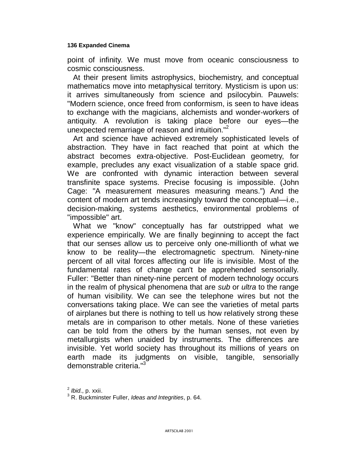point of infinity. We must move from oceanic consciousness to cosmic consciousness.

At their present limits astrophysics, biochemistry, and conceptual mathematics move into metaphysical territory. Mysticism is upon us: it arrives simultaneously from science and psilocybin. Pauwels: "Modern science, once freed from conformism, is seen to have ideas to exchange with the magicians, alchemists and wonder-workers of antiquity. A revolution is taking place before our eyes— the unexpected remarriage of reason and intuition."<sup>2</sup>

Art and science have achieved extremely sophisticated levels of abstraction. They have in fact reached that point at which the abstract becomes extra-objective. Post-Euclidean geometry, for example, precludes any exact visualization of a stable space grid. We are confronted with dynamic interaction between several transfinite space systems. Precise focusing is impossible. (John Cage: "A measurement measures measuring means.") And the content of modern art tends increasingly toward the conceptual—i.e., decision-making, systems aesthetics, environmental problems of "impossible" art.

What we "know" conceptually has far outstripped what we experience empirically. We are finally beginning to accept the fact that our senses allow us to perceive only one-millionth of what we know to be reality— the electromagnetic spectrum. Ninety-nine percent of all vital forces affecting our life is invisible. Most of the fundamental rates of change can't be apprehended sensorially. Fuller: "Better than ninety-nine percent of modern technology occurs in the realm of physical phenomena that are *sub* or *ultra* to the range of human visibility. We can see the telephone wires but not the conversations taking place. We can see the varieties of metal parts of airplanes but there is nothing to tell us how relatively strong these metals are in comparison to other metals. None of these varieties can be told from the others by the human senses, not even by metallurgists when unaided by instruments. The differences are invisible. Yet world society has throughout its millions of years on earth made its judgments on visible, tangible, sensorially demonstrable criteria<sup>"3</sup>

<sup>2</sup> *Ibid*., p. xxii.

<sup>3</sup> R. Buckminster Fuller, *Ideas and Integrities*, p. 64.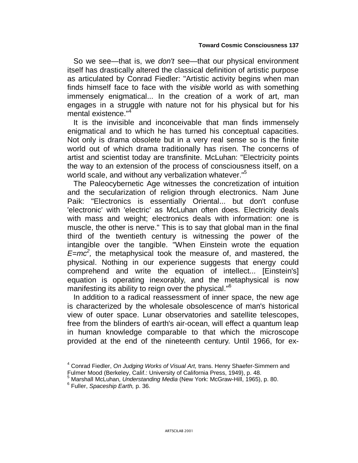So we see— that is, we *don't* see— that our physical environment itself has drastically altered the classical definition of artistic purpose as articulated by Conrad Fiedler: "Artistic activity begins when man finds himself face to face with the *visible* world as with something immensely enigmatical... In the creation of a work of art, man engages in a struggle with nature not for his physical but for his mental existence."<sup>4</sup>

It is the invisible and inconceivable that man finds immensely enigmatical and to which he has turned his conceptual capacities. Not only is drama obsolete but in a very real sense so is the finite world out of which drama traditionally has risen. The concerns of artist and scientist today are transfinite. McLuhan: "Electricity points the way to an extension of the process of consciousness itself, on a world scale, and without any verbalization whatever.<sup>"5</sup>

The Paleocybernetic Age witnesses the concretization of intuition and the secularization of religion through electronics. Nam June Paik: "Electronics is essentially Oriental... but don't confuse 'electronic' with 'electric' as McLuhan often does. Electricity deals with mass and weight; electronics deals with information: one is muscle, the other is nerve." This is to say that global man in the final third of the twentieth century is witnessing the power of the intangible over the tangible. "When Einstein wrote the equation *E=mc<sup>2</sup> ,* the metaphysical took the measure of, and mastered, the physical. Nothing in our experience suggests that energy could comprehend and write the equation of intellect... [Einstein's] equation is operating inexorably, and the metaphysical is now manifesting its ability to reign over the physical.<sup>"6</sup>

In addition to a radical reassessment of inner space, the new age is characterized by the wholesale obsolescence of man's historical view of outer space. Lunar observatories and satellite telescopes, free from the blinders of earth's air-ocean, will effect a quantum leap in human knowledge comparable to that which the microscope provided at the end of the nineteenth century. Until 1966, for ex-

<sup>4</sup> Conrad Fiedler, *On Judging Works of Visual Art,* trans. Henry Shaefer-Simmern and Fulmer Mood (Berkeley, Calif.: University of California Press, 1949), p. 48. 5

Marshall McLuhan, *Understanding Media* (New York: McGraw-Hill, 1965), p. 80.

<sup>6</sup> Fuller, *Spaceship Earth,* p. 36.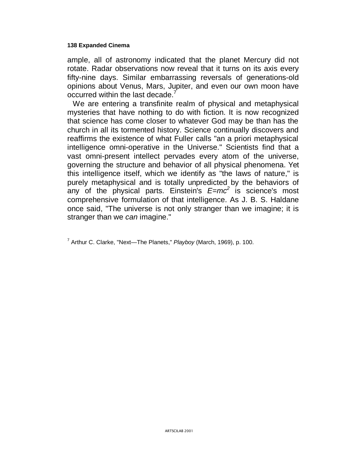ample, all of astronomy indicated that the planet Mercury did not rotate. Radar observations now reveal that it turns on its axis every fifty-nine days. Similar embarrassing reversals of generations-old opinions about Venus, Mars, Jupiter, and even our own moon have occurred within the last decade.

We are entering a transfinite realm of physical and metaphysical mysteries that have nothing to do with fiction. It is now recognized that science has come closer to whatever God may be than has the church in all its tormented history. Science continually discovers and reaffirms the existence of what Fuller calls "an a priori metaphysical intelligence omni-operative in the Universe." Scientists find that a vast omni-present intellect pervades every atom of the universe, governing the structure and behavior of all physical phenomena. Yet this intelligence itself, which we identify as "the laws of nature," is purely metaphysical and is totally unpredicted by the behaviors of any of the physical parts. Einstein's *E=mc<sup>2</sup>* is science's most comprehensive formulation of that intelligence. As J. B. S. Haldane once said, "The universe is not only stranger than we imagine; it is stranger than we *can* imagine."

7 Arthur C. Clarke, "Next— The Planets," *Playboy* (March, 1969), p. 100.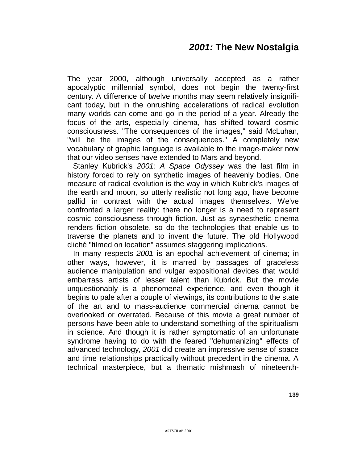# *2001:* **The New Nostalgia**

The year 2000, although universally accepted as a rather apocalyptic millennial symbol, does not begin the twenty-first century. A difference of twelve months may seem relatively insignificant today, but in the onrushing accelerations of radical evolution many worlds can come and go in the period of a year. Already the focus of the arts, especially cinema, has shifted toward cosmic consciousness. "The consequences of the images," said McLuhan, "will be the images of the consequences." A completely new vocabulary of graphic language is available to the image-maker now that our video senses have extended to Mars and beyond.

Stanley Kubrick's *2001: A Space Odyssey* was the last film in history forced to rely on synthetic images of heavenly bodies. One measure of radical evolution is the way in which Kubrick's images of the earth and moon, so utterly realistic not long ago, have become pallid in contrast with the actual images themselves. We've confronted a larger reality: there no longer is a need to represent cosmic consciousness through fiction. Just as synaesthetic cinema renders fiction obsolete, so do the technologies that enable us to traverse the planets and to invent the future. The old Hollywood cliché "filmed on location" assumes staggering implications.

In many respects *2001* is an epochal achievement of cinema; in other ways, however, it is marred by passages of graceless audience manipulation and vulgar expositional devices that would embarrass artists of lesser talent than Kubrick. But the movie unquestionably is a phenomenal experience, and even though it begins to pale after a couple of viewings, its contributions to the state of the art and to mass-audience commercial cinema cannot be overlooked or overrated. Because of this movie a great number of persons have been able to understand something of the spiritualism in science. And though it is rather symptomatic of an unfortunate syndrome having to do with the feared "dehumanizing" effects of advanced technology, *2001* did create an impressive sense of space and time relationships practically without precedent in the cinema. A technical masterpiece, but a thematic mishmash of nineteenth-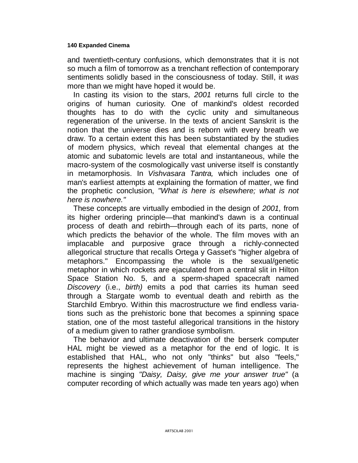and twentieth-century confusions, which demonstrates that it is not so much a film of tomorrow as a trenchant reflection of contemporary sentiments solidly based in the consciousness of today. Still, it *was*  more than we might have hoped it would be.

In casting its vision to the stars, *2001* returns full circle to the origins of human curiosity. One of mankind's oldest recorded thoughts has to do with the cyclic unity and simultaneous regeneration of the universe. In the texts of ancient Sanskrit is the notion that the universe dies and is reborn with every breath we draw. To a certain extent this has been substantiated by the studies of modern physics, which reveal that elemental changes at the atomic and subatomic levels are total and instantaneous, while the macro-system of the cosmologically vast universe itself is constantly in metamorphosis. In *Vishvasara Tantra,* which includes one of man's earliest attempts at explaining the formation of matter, we find the prophetic conclusion, *"What is here is elsewhere; what is not here is nowhere."*

These concepts are virtually embodied in the design of *2001,* from its higher ordering principle— that mankind's dawn is a continual process of death and rebirth— through each of its parts, none of which predicts the behavior of the whole. The film moves with an implacable and purposive grace through a richly-connected allegorical structure that recalls Ortega y Gasset's "higher algebra of metaphors." Encompassing the whole is the sexual/genetic metaphor in which rockets are ejaculated from a central slit in Hilton Space Station No. 5, and a sperm-shaped spacecraft named *Discovery* (i.e., *birth)* emits a pod that carries its human seed through a Stargate womb to eventual death and rebirth as the Starchild Embryo. Within this macrostructure we find endless variations such as the prehistoric bone that becomes a spinning space station, one of the most tasteful allegorical transitions in the history of a medium given to rather grandiose symbolism.

The behavior and ultimate deactivation of the berserk computer HAL might be viewed as a metaphor for the end of logic. It is established that HAL, who not only "thinks" but also "feels," represents the highest achievement of human intelligence. The machine is singing *"Daisy, Daisy, give me your answer true"* (a computer recording of which actually was made ten years ago) when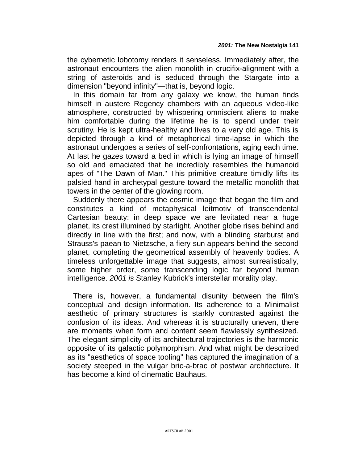the cybernetic lobotomy renders it senseless. Immediately after, the astronaut encounters the alien monolith in crucifix-alignment with a string of asteroids and is seduced through the Stargate into a dimension "beyond infinity"— that is, beyond logic.

In this domain far from any galaxy we know, the human finds himself in austere Regency chambers with an aqueous video-like atmosphere, constructed by whispering omniscient aliens to make him comfortable during the lifetime he is to spend under their scrutiny. He is kept ultra-healthy and lives to a very old age. This is depicted through a kind of metaphorical time-lapse in which the astronaut undergoes a series of self-confrontations, aging each time. At last he gazes toward a bed in which is lying an image of himself so old and emaciated that he incredibly resembles the humanoid apes of "The Dawn of Man." This primitive creature timidly lifts its palsied hand in archetypal gesture toward the metallic monolith that towers in the center of the glowing room.

Suddenly there appears the cosmic image that began the film and constitutes a kind of metaphysical leitmotiv of transcendental Cartesian beauty: in deep space we are levitated near a huge planet, its crest illumined by starlight. Another globe rises behind and directly in line with the first; and now, with a blinding starburst and Strauss's paean to Nietzsche, a fiery sun appears behind the second planet, completing the geometrical assembly of heavenly bodies. A timeless unforgettable image that suggests, almost surrealistically, some higher order, some transcending logic far beyond human intelligence. *2001 is* Stanley Kubrick's interstellar morality play.

There is, however, a fundamental disunity between the film's conceptual and design information. Its adherence to a Minimalist aesthetic of primary structures is starkly contrasted against the confusion of its ideas. And whereas it is structurally uneven, there are moments when form and content seem flawlessly synthesized. The elegant simplicity of its architectural trajectories is the harmonic opposite of its galactic polymorphism. And what might be described as its "aesthetics of space tooling" has captured the imagination of a society steeped in the vulgar bric-a-brac of postwar architecture. It has become a kind of cinematic Bauhaus.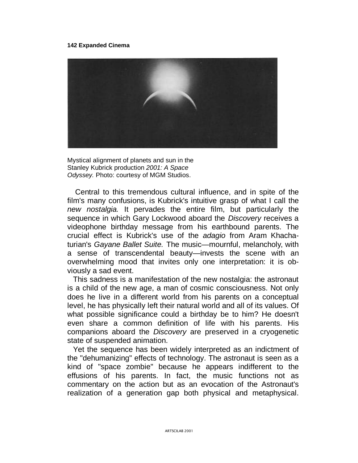

Mystical alignment of planets and sun in the Stanley Kubrick production *2001: A Space Odyssey.* Photo: courtesy of MGM Studios.

Central to this tremendous cultural influence, and in spite of the film's many confusions, is Kubrick's intuitive grasp of what I call the *new nostalgia.* It pervades the entire film, but particularly the sequence in which Gary Lockwood aboard the *Discovery* receives a videophone birthday message from his earthbound parents. The crucial effect is Kubrick's use of the *adagio* from Aram Khachaturian's *Gayane Ballet Suite.* The music— mournful, melancholy, with a sense of transcendental beauty— invests the scene with an overwhelming mood that invites only one interpretation: it is obviously a sad event.

This sadness is a manifestation of the new nostalgia: the astronaut is a child of the new age, a man of cosmic consciousness. Not only does he live in a different world from his parents on a conceptual level, he has physically left their natural world and all of its values. Of what possible significance could a birthday be to him? He doesn't even share a common definition of life with his parents. His companions aboard the *Discovery* are preserved in a cryogenetic state of suspended animation.

Yet the sequence has been widely interpreted as an indictment of the "dehumanizing" effects of technology. The astronaut is seen as a kind of "space zombie" because he appears indifferent to the effusions of his parents. In fact, the music functions not as commentary on the action but as an evocation of the Astronaut's realization of a generation gap both physical and metaphysical.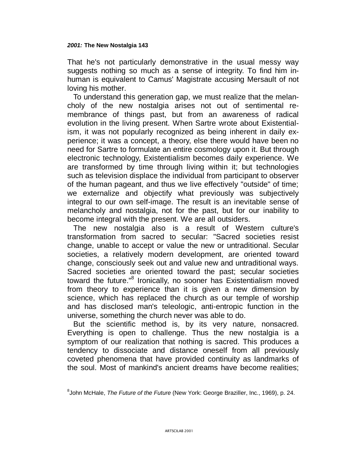### *2001:* **The New Nostalgia 143**

That he's not particularly demonstrative in the usual messy way suggests nothing so much as a sense of integrity. To find him inhuman is equivalent to Camus' Magistrate accusing Mersault of not loving his mother.

To understand this generation gap, we must realize that the melancholy of the new nostalgia arises not out of sentimental remembrance of things past, but from an awareness of radical evolution in the living present. When Sartre wrote about Existentialism, it was not popularly recognized as being inherent in daily experience; it was a concept, a theory, else there would have been no need for Sartre to formulate an entire cosmology upon it. But through electronic technology, Existentialism becomes daily experience. We are transformed by time through living within it; but technologies such as television displace the individual from participant to observer of the human pageant, and thus we live effectively "outside" of time; we externalize and objectify what previously was subjectively integral to our own self-image. The result is an inevitable sense of melancholy and nostalgia, not for the past, but for our inability to become integral with the present. We are all outsiders.

The new nostalgia also is a result of Western culture's transformation from sacred to secular: "Sacred societies resist change, unable to accept or value the new or untraditional. Secular societies, a relatively modern development, are oriented toward change, consciously seek out and value new and untraditional ways. Sacred societies are oriented toward the past; secular societies toward the future."<sup>8</sup> Ironically, no sooner has Existentialism moved from theory to experience than it is given a new dimension by science, which has replaced the church as our temple of worship and has disclosed man's teleologic, anti-entropic function in the universe, something the church never was able to do.

But the scientific method is, by its very nature, nonsacred. Everything is open to challenge. Thus the new nostalgia is a symptom of our realization that nothing is sacred. This produces a tendency to dissociate and distance oneself from all previously coveted phenomena that have provided continuity as landmarks of the soul. Most of mankind's ancient dreams have become realities;

<sup>8</sup> John McHale, *The Future of the Future* (New York: George Braziller, Inc., 1969), p. 24.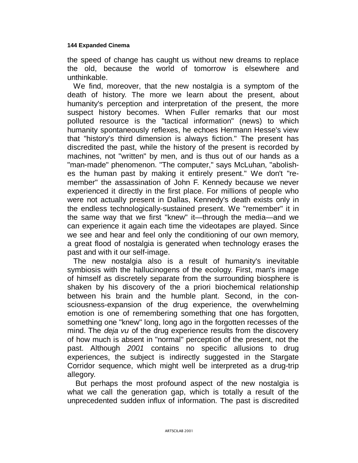the speed of change has caught us without new dreams to replace the old, because the world of tomorrow is elsewhere and unthinkable.

We find, moreover, that the new nostalgia is a symptom of the death of history. The more we learn about the present, about humanity's perception and interpretation of the present, the more suspect history becomes. When Fuller remarks that our most polluted resource is the "tactical information" (news) to which humanity spontaneously reflexes, he echoes Hermann Hesse's view that "history's third dimension is always fiction." The present has discredited the past, while the history of the present is recorded by machines, not "written" by men, and is thus out of our hands as a "man-made" phenomenon. "The computer," says McLuhan, "abolishes the human past by making it entirely present." We don't "remember" the assassination of John F. Kennedy because we never experienced it directly in the first place. For millions of people who were not actually present in Dallas, Kennedy's death exists only in the endless technologically-sustained present. We "remember" it in the same way that we first "knew" it— through the media— and we can experience it again each time the videotapes are played. Since we see and hear and feel only the conditioning of our own memory, a great flood of nostalgia is generated when technology erases the past and with it our self-image.

The new nostalgia also is a result of humanity's inevitable symbiosis with the hallucinogens of the ecology. First, man's image of himself as discretely separate from the surrounding biosphere is shaken by his discovery of the a priori biochemical relationship between his brain and the humble plant. Second, in the consciousness-expansion of the drug experience, the overwhelming emotion is one of remembering something that one has forgotten, something one "knew" long, long ago in the forgotten recesses of the mind. The *deja vu* of the drug experience results from the discovery of how much is absent in "normal" perception of the present, not the past. Although *2001* contains no specific allusions to drug experiences, the subject is indirectly suggested in the Stargate Corridor sequence, which might well be interpreted as a drug-trip allegory.

 But perhaps the most profound aspect of the new nostalgia is what we call the generation gap, which is totally a result of the unprecedented sudden influx of information. The past is discredited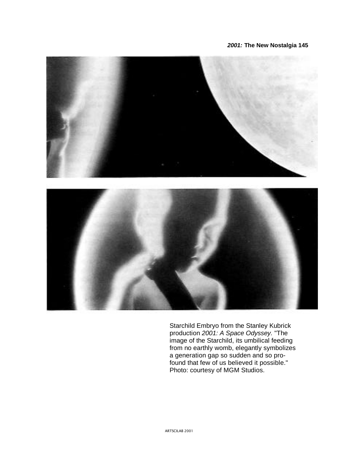### *2001:* **The New Nostalgia 145**





Starchild Embryo from the Stanley Kubrick production *2001: A Space Odyssey.* "The image of the Starchild, its umbilical feeding from no earthly womb, elegantly symbolizes a generation gap so sudden and so profound that few of us believed it possible." Photo: courtesy of MGM Studios.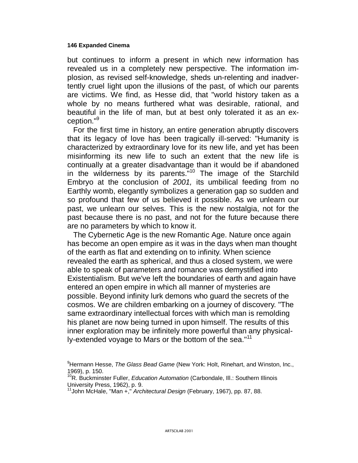but continues to inform a present in which new information has revealed us in a completely new perspective. The information implosion, as revised self-knowledge, sheds un-relenting and inadvertently cruel light upon the illusions of the past, of which our parents are victims. We find, as Hesse did, that "world history taken as a whole by no means furthered what was desirable, rational, and beautiful in the life of man, but at best only tolerated it as an exception."<sup>9</sup>

For the first time in history, an entire generation abruptly discovers that its legacy of love has been tragically ill-served: "Humanity is characterized by extraordinary love for its new life, and yet has been misinforming its new life to such an extent that the new life is continually at a greater disadvantage than it would be if abandoned in the wilderness by its parents. $10^{\circ}$  The image of the Starchild Embryo at the conclusion of *2001,* its umbilical feeding from no Earthly womb, elegantly symbolizes a generation gap so sudden and so profound that few of us believed it possible. As we unlearn our past, we unlearn our selves. This is the new nostalgia, not for the past because there is no past, and not for the future because there are no parameters by which to know it.

The Cybernetic Age is the new Romantic Age. Nature once again has become an open empire as it was in the days when man thought of the earth as flat and extending on to infinity. When science revealed the earth as spherical, and thus a closed system, we were able to speak of parameters and romance was demystified into Existentialism. But we've left the boundaries of earth and again have entered an open empire in which all manner of mysteries are possible. Beyond infinity lurk demons who guard the secrets of the cosmos. We are children embarking on a journey of discovery. "The same extraordinary intellectual forces with which man is remolding his planet are now being turned in upon himself. The results of this inner exploration may be infinitely more powerful than any physically-extended voyage to Mars or the bottom of the sea."<sup>11</sup>

<sup>9</sup>Hermann Hesse, *The Glass Bead Game* (New York: Holt, Rinehart, and Winston, Inc., 1969), p. 150.

<sup>&</sup>lt;sup>10</sup>R. Buckminster Fuller, *Education Automation* (Carbondale, Ill.: Southern Illinois University Press, 1962), p. 9.

<sup>11</sup>John McHale, "Man +," *Architectural Design* (February, 1967), pp. 87, 88.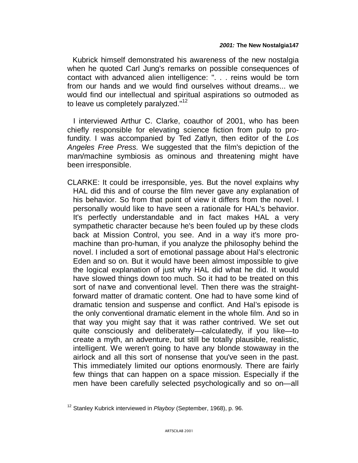Kubrick himself demonstrated his awareness of the new nostalgia when he quoted Carl Jung's remarks on possible consequences of contact with advanced alien intelligence: ". . . reins would be torn from our hands and we would find ourselves without dreams... we would find our intellectual and spiritual aspirations so outmoded as to leave us completely paralyzed."<sup>12</sup>

I interviewed Arthur C. Clarke, coauthor of 2001, who has been chiefly responsible for elevating science fiction from pulp to profundity. I was accompanied by Ted Zatlyn, then editor of the *Los Angeles Free Press.* We suggested that the film's depiction of the man/machine symbiosis as ominous and threatening might have been irresponsible.

CLARKE: It could be irresponsible, yes. But the novel explains why HAL did this and of course the film never gave any explanation of his behavior. So from that point of view it differs from the novel. I personally would like to have seen a rationale for HAL's behavior. It's perfectly understandable and in fact makes HAL a very sympathetic character because he's been fouled up by these clods back at Mission Control, you see. And in a way it's more promachine than pro-human, if you analyze the philosophy behind the novel. I included a sort of emotional passage about Hal's electronic Eden and so on. But it would have been almost impossible to give the logical explanation of just why HAL did what he did. It would have slowed things down too much. So it had to be treated on this sort of na *y*e and conventional level. Then there was the straightforward matter of dramatic content. One had to have some kind of dramatic tension and suspense and conflict. And Hal's episode is the only conventional dramatic element in the whole film. And so in that way you might say that it was rather contrived. We set out quite consciously and deliberately— calculatedly, if you like— to create a myth, an adventure, but still be totally plausible, realistic, intelligent. We weren't going to have any blonde stowaway in the airlock and all this sort of nonsense that you've seen in the past. This immediately limited our options enormously. There are fairly few things that can happen on a space mission. Especially if the men have been carefully selected psychologically and so on— all

<sup>12</sup> Stanley Kubrick interviewed in *Playboy* (September, 1968), p. 96.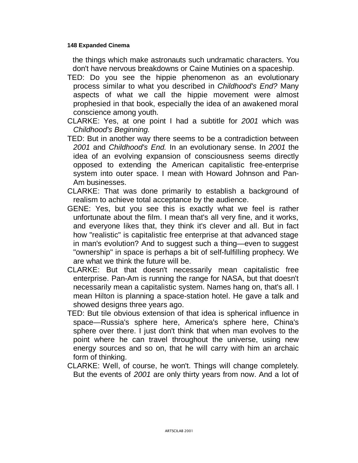the things which make astronauts such undramatic characters. You don't have nervous breakdowns or Caine Mutinies on a spaceship.

- TED: Do you see the hippie phenomenon as an evolutionary process similar to what you described in *Childhood's End?* Many aspects of what we call the hippie movement were almost prophesied in that book, especially the idea of an awakened moral conscience among youth.
- CLARKE: Yes, at one point I had a subtitle for *2001* which was *Childhood's Beginning.*
- TED: But in another way there seems to be a contradiction between *2001* and *Childhood's End.* In an evolutionary sense. In *2001* the idea of an evolving expansion of consciousness seems directly opposed to extending the American capitalistic free-enterprise system into outer space. I mean with Howard Johnson and Pan-Am businesses.
- CLARKE: That was done primarily to establish a background of realism to achieve total acceptance by the audience.
- GENE: Yes, but you see this is exactly what we feel is rather unfortunate about the film. I mean that's all very fine, and it works, and everyone likes that, they think it's clever and all. But in fact how "realistic" is capitalistic free enterprise at that advanced stage in man's evolution? And to suggest such a thing— even to suggest "ownership" in space is perhaps a bit of self-fulfilling prophecy. We are what we think the future will be.
- CLARKE: But that doesn't necessarily mean capitalistic free enterprise. Pan-Am is running the range for NASA, but that doesn't necessarily mean a capitalistic system. Names hang on, that's all. I mean Hilton is planning a space-station hotel. He gave a talk and showed designs three years ago.
- TED: But tile obvious extension of that idea is spherical influence in space— Russia's sphere here, America's sphere here, China's sphere over there. I just don't think that when man evolves to the point where he can travel throughout the universe, using new energy sources and so on, that he will carry with him an archaic form of thinking.
- CLARKE: Well, of course, he won't. Things will change completely. But the events of *2001* are only thirty years from now. And a lot of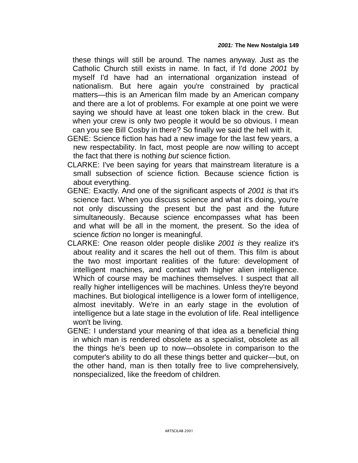these things will still be around. The names anyway. Just as the Catholic Church still exists in name. In fact, if I'd done *2001* by myself I'd have had an international organization instead of nationalism. But here again you're constrained by practical matters— this is an American film made by an American company and there are a lot of problems. For example at one point we were saying we should have at least one token black in the crew. But when your crew is only two people it would be so obvious. I mean can you see Bill Cosby in there? So finally we said the hell with it.

- GENE: Science fiction has had a new image for the last few years, a new respectability. In fact, most people are now willing to accept the fact that there is nothing *but* science fiction.
- CLARKE: I've been saying for years that mainstream literature is a small subsection of science fiction. Because science fiction is about everything.
- GENE: Exactly. And one of the significant aspects of *2001 is* that it's science fact. When you discuss science and what it's doing, you're not only discussing the present but the past and the future simultaneously. Because science encompasses what has been and what will be all in the moment, the present. So the idea of science *fiction* no longer is meaningful.
- CLARKE: One reason older people dislike *2001 is* they realize it's about reality and it scares the hell out of them. This film is about the two most important realities of the future: development of intelligent machines, and contact with higher alien intelligence. Which of course may be machines themselves. I suspect that all really higher intelligences will be machines. Unless they're beyond machines. But biological intelligence is a lower form of intelligence, almost inevitably. We're in an early stage in the evolution of intelligence but a late stage in the evolution of life. Real intelligence won't be living.
- GENE: I understand your meaning of that idea as a beneficial thing in which man is rendered obsolete as a specialist, obsolete as all the things he's been up to now— obsolete in comparison to the computer's ability to do all these things better and quicker— but, on the other hand, man is then totally free to live comprehensively, nonspecialized, like the freedom of children.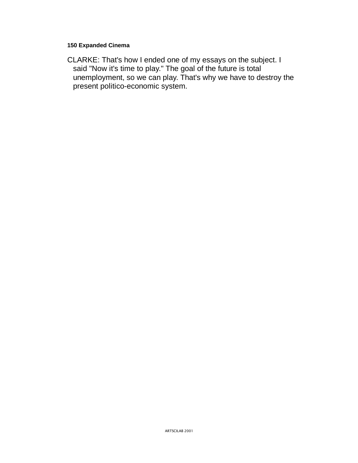CLARKE: That's how I ended one of my essays on the subject. I said "Now it's time to play." The goal of the future is total unemployment, so we can play. That's why we have to destroy the present politico-economic system.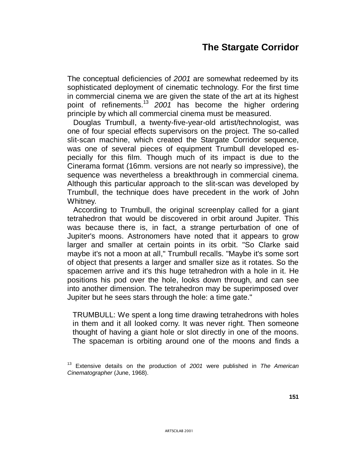The conceptual deficiencies of *2001* are somewhat redeemed by its sophisticated deployment of cinematic technology. For the first time in commercial cinema we are given the state of the art at its highest point of refinements.<sup>13</sup> *2001* has become the higher ordering principle by which all commercial cinema must be measured.

Douglas Trumbull, a twenty-five-year-old artist/technologist, was one of four special effects supervisors on the project. The so-called slit-scan machine, which created the Stargate Corridor sequence, was one of several pieces of equipment Trumbull developed especially for this film. Though much of its impact is due to the Cinerama format (16mm. versions are not nearly so impressive), the sequence was nevertheless a breakthrough in commercial cinema. Although this particular approach to the slit-scan was developed by Trumbull, the technique does have precedent in the work of John Whitney.

According to Trumbull, the original screenplay called for a giant tetrahedron that would be discovered in orbit around Jupiter. This was because there is, in fact, a strange perturbation of one of Jupiter's moons. Astronomers have noted that it appears to grow larger and smaller at certain points in its orbit. "So Clarke said maybe it's not a moon at all," Trumbull recalls. "Maybe it's some sort of object that presents a larger and smaller size as it rotates. So the spacemen arrive and it's this huge tetrahedron with a hole in it. He positions his pod over the hole, looks down through, and can see into another dimension. The tetrahedron may be superimposed over Jupiter but he sees stars through the hole: a time gate."

TRUMBULL: We spent a long time drawing tetrahedrons with holes in them and it all looked corny. It was never right. Then someone thought of having a giant hole or slot directly in one of the moons. The spaceman is orbiting around one of the moons and finds a

<sup>13</sup> Extensive details on the production of *2001* were published in *The American Cinematographer* (June, 1968).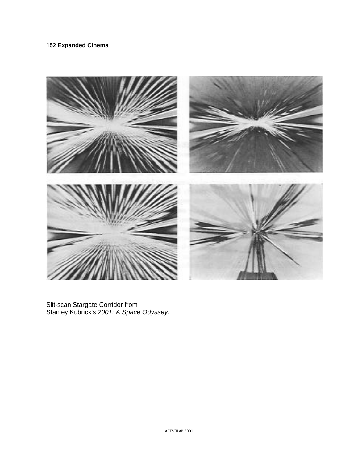

Slit-scan Stargate Corridor from Stanley Kubrick's *2001: A Space Odyssey.*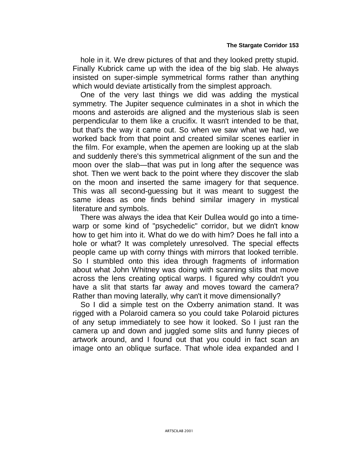hole in it. We drew pictures of that and they looked pretty stupid. Finally Kubrick came up with the idea of the big slab. He always insisted on super-simple symmetrical forms rather than anything which would deviate artistically from the simplest approach.

One of the very last things we did was adding the mystical symmetry. The Jupiter sequence culminates in a shot in which the moons and asteroids are aligned and the mysterious slab is seen perpendicular to them like a crucifix. It wasn't intended to be that, but that's the way it came out. So when we saw what we had, we worked back from that point and created similar scenes earlier in the film. For example, when the apemen are looking up at the slab and suddenly there's this symmetrical alignment of the sun and the moon over the slab— that was put in long after the sequence was shot. Then we went back to the point where they discover the slab on the moon and inserted the same imagery for that sequence. This was all second-guessing but it was meant to suggest the same ideas as one finds behind similar imagery in mystical literature and symbols.

There was always the idea that Keir Dullea would go into a timewarp or some kind of "psychedelic" corridor, but we didn't know how to get him into it. What do we do with him? Does he fall into a hole or what? It was completely unresolved. The special effects people came up with corny things with mirrors that looked terrible. So I stumbled onto this idea through fragments of information about what John Whitney was doing with scanning slits that move across the lens creating optical warps. I figured why couldn't you have a slit that starts far away and moves toward the camera? Rather than moving laterally, why can't it move dimensionally?

So I did a simple test on the Oxberry animation stand. It was rigged with a Polaroid camera so you could take Polaroid pictures of any setup immediately to see how it looked. So I just ran the camera up and down and juggled some slits and funny pieces of artwork around, and I found out that you could in fact scan an image onto an oblique surface. That whole idea expanded and I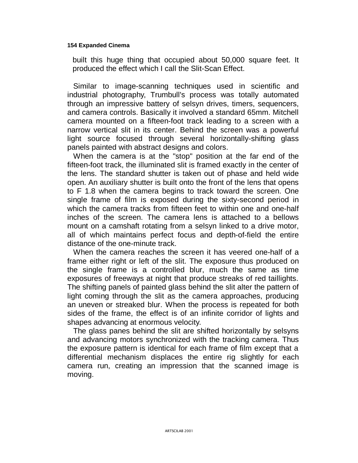built this huge thing that occupied about 50,000 square feet. It produced the effect which I call the Slit-Scan Effect.

Similar to image-scanning techniques used in scientific and industrial photography, Trumbull's process was totally automated through an impressive battery of selsyn drives, timers, sequencers, and camera controls. Basically it involved a standard 65mm. Mitchell camera mounted on a fifteen-foot track leading to a screen with a narrow vertical slit in its center. Behind the screen was a powerful light source focused through several horizontally-shifting glass panels painted with abstract designs and colors.

When the camera is at the "stop" position at the far end of the fifteen-foot track, the illuminated slit is framed exactly in the center of the lens. The standard shutter is taken out of phase and held wide open. An auxiliary shutter is built onto the front of the lens that opens to F 1.8 when the camera begins to track toward the screen. One single frame of film is exposed during the sixty-second period in which the camera tracks from fifteen feet to within one and one-half inches of the screen. The camera lens is attached to a bellows mount on a camshaft rotating from a selsyn linked to a drive motor, all of which maintains perfect focus and depth-of-field the entire distance of the one-minute track.

When the camera reaches the screen it has veered one-half of a frame either right or left of the slit. The exposure thus produced on the single frame is a controlled blur, much the same as time exposures of freeways at night that produce streaks of red taillights. The shifting panels of painted glass behind the slit alter the pattern of light coming through the slit as the camera approaches, producing an uneven or streaked blur. When the process is repeated for both sides of the frame, the effect is of an infinite corridor of lights and shapes advancing at enormous velocity.

The glass panes behind the slit are shifted horizontally by selsyns and advancing motors synchronized with the tracking camera. Thus the exposure pattern is identical for each frame of film except that a differential mechanism displaces the entire rig slightly for each camera run, creating an impression that the scanned image is moving.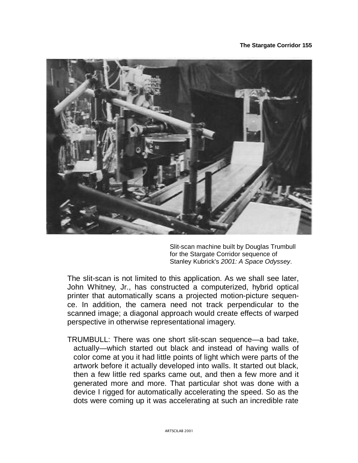### **The Stargate Corridor 155**



Slit-scan machine built by Douglas Trumbull for the Stargate Corridor sequence of Stanley Kubrick's *2001: A Space Odyssey*.

The slit-scan is not limited to this application. As we shall see later, John Whitney, Jr., has constructed a computerized, hybrid optical printer that automatically scans a projected motion-picture sequence. In addition, the camera need not track perpendicular to the scanned image; a diagonal approach would create effects of warped perspective in otherwise representational imagery.

TRUMBULL: There was one short slit-scan sequence— a bad take, actually— which started out black and instead of having walls of color come at you it had little points of light which were parts of the artwork before it actually developed into walls. It started out black, then a few little red sparks came out, and then a few more and it generated more and more. That particular shot was done with a device I rigged for automatically accelerating the speed. So as the dots were coming up it was accelerating at such an incredible rate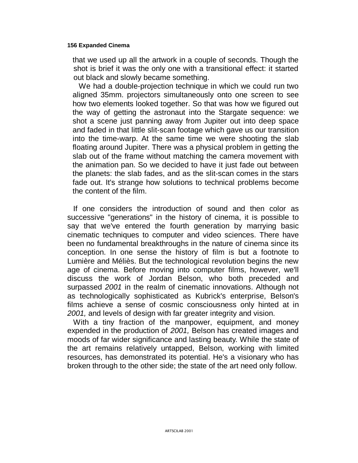that we used up all the artwork in a couple of seconds. Though the shot is brief it was the only one with a transitional effect: it started out black and slowly became something.

We had a double-projection technique in which we could run two aligned 35mm. projectors simultaneously onto one screen to see how two elements looked together. So that was how we figured out the way of getting the astronaut into the Stargate sequence: we shot a scene just panning away from Jupiter out into deep space and faded in that little slit-scan footage which gave us our transition into the time-warp. At the same time we were shooting the slab floating around Jupiter. There was a physical problem in getting the slab out of the frame without matching the camera movement with the animation pan. So we decided to have it just fade out between the planets: the slab fades, and as the slit-scan comes in the stars fade out. It's strange how solutions to technical problems become the content of the film.

If one considers the introduction of sound and then color as successive "generations" in the history of cinema, it is possible to say that we've entered the fourth generation by marrying basic cinematic techniques to computer and video sciences. There have been no fundamental breakthroughs in the nature of cinema since its conception. In one sense the history of film is but a footnote to Lumière and Méliès. But the technological revolution begins the new age of cinema. Before moving into computer films, however, we'll discuss the work of Jordan Belson, who both preceded and surpassed *2001* in the realm of cinematic innovations. Although not as technologically sophisticated as Kubrick's enterprise, Belson's films achieve a sense of cosmic consciousness only hinted at in *2001,* and levels of design with far greater integrity and vision.

With a tiny fraction of the manpower, equipment, and money expended in the production of *2001,* Belson has created images and moods of far wider significance and lasting beauty. While the state of the art remains relatively untapped, Belson, working with limited resources, has demonstrated its potential. He's a visionary who has broken through to the other side; the state of the art need only follow.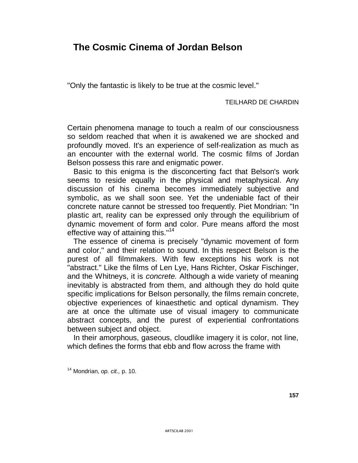# **The Cosmic Cinema of Jordan Belson**

"Only the fantastic is likely to be true at the cosmic level."

### TEILHARD DE CHARDIN

Certain phenomena manage to touch a realm of our consciousness so seldom reached that when it is awakened we are shocked and profoundly moved. It's an experience of self-realization as much as an encounter with the external world. The cosmic films of Jordan Belson possess this rare and enigmatic power.

Basic to this enigma is the disconcerting fact that Belson's work seems to reside equally in the physical and metaphysical. Any discussion of his cinema becomes immediately subjective and symbolic, as we shall soon see. Yet the undeniable fact of their concrete nature cannot be stressed too frequently. Piet Mondrian: "In plastic art, reality can be expressed only through the equilibrium of dynamic movement of form and color. Pure means afford the most effective way of attaining this."<sup>14</sup>

The essence of cinema is precisely "dynamic movement of form and color," and their relation to sound. In this respect Belson is the purest of all filmmakers. With few exceptions his work is not "abstract." Like the films of Len Lye, Hans Richter, Oskar Fischinger, and the Whitneys, it is *concrete.* Although a wide variety of meaning inevitably is abstracted from them, and although they do hold quite specific implications for Belson personally, the films remain concrete, objective experiences of kinaesthetic and optical dynamism. They are at once the ultimate use of visual imagery to communicate abstract concepts, and the purest of experiential confrontations between subject and object.

In their amorphous, gaseous, cloudlike imagery it is color, not line, which defines the forms that ebb and flow across the frame with

<sup>14</sup> Mondrian, *op. cit.,* p. 10.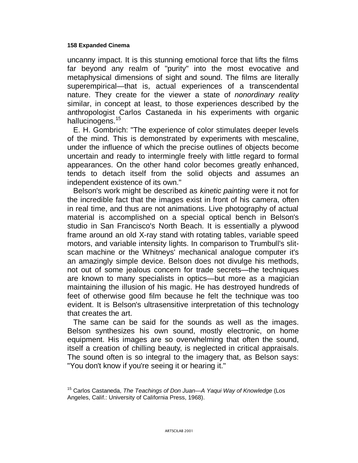uncanny impact. It is this stunning emotional force that lifts the films far beyond any realm of "purity" into the most evocative and metaphysical dimensions of sight and sound. The films are literally superempirical— that is, actual experiences of a transcendental nature. They create for the viewer a state of *nonordinary reality* similar, in concept at least, to those experiences described by the anthropologist Carlos Castaneda in his experiments with organic hallucinogens.<sup>15</sup>

E. H. Gombrich: "The experience of color stimulates deeper levels of the mind. This is demonstrated by experiments with mescaline, under the influence of which the precise outlines of objects become uncertain and ready to intermingle freely with little regard to formal appearances. On the other hand color becomes greatly enhanced, tends to detach itself from the solid objects and assumes an independent existence of its own."

Belson's work might be described as *kinetic painting* were it not for the incredible fact that the images exist in front of his camera, often in real time, and thus are not animations. Live photography of actual material is accomplished on a special optical bench in Belson's studio in San Francisco's North Beach. It is essentially a plywood frame around an old X-ray stand with rotating tables, variable speed motors, and variable intensity lights. In comparison to Trumbull's slitscan machine or the Whitneys' mechanical analogue computer it's an amazingly simple device. Belson does not divulge his methods, not out of some jealous concern for trade secrets— the techniques are known to many specialists in optics— but more as a magician maintaining the illusion of his magic. He has destroyed hundreds of feet of otherwise good film because he felt the technique was too evident. It is Belson's ultrasensitive interpretation of this technology that creates the art.

The same can be said for the sounds as well as the images. Belson synthesizes his own sound, mostly electronic, on home equipment. His images are so overwhelming that often the sound, itself a creation of chilling beauty, is neglected in critical appraisals. The sound often is so integral to the imagery that, as Belson says: "You don't know if you're seeing it or hearing it."

<sup>15</sup> Carlos Castaneda, *The Teachings of Don Juan— A Yaqui Way of Knowledge* (Los Angeles, Calif.: University of California Press, 1968).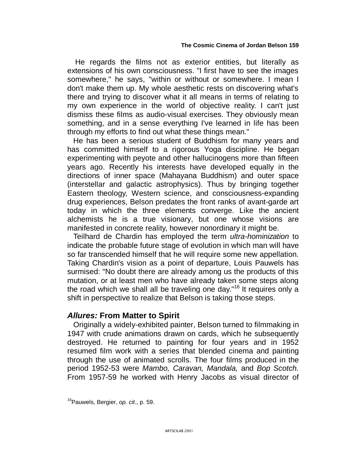He regards the films not as exterior entities, but literally as extensions of his own consciousness. "I first have to see the images somewhere," he says, "within or without or somewhere. I mean I don't make them up. My whole aesthetic rests on discovering what's there and trying to discover what it all means in terms of relating to my own experience in the world of objective reality. I can't just dismiss these films as audio-visual exercises. They obviously mean something, and in a sense everything I've learned in life has been through my efforts to find out what these things mean."

He has been a serious student of Buddhism for many years and has committed himself to a rigorous Yoga discipline. He began experimenting with peyote and other hallucinogens more than fifteen years ago. Recently his interests have developed equally in the directions of inner space (Mahayana Buddhism) and outer space (interstellar and galactic astrophysics). Thus by bringing together Eastern theology, Western science, and consciousness-expanding drug experiences, Belson predates the front ranks of avant-garde art today in which the three elements converge. Like the ancient alchemists he is a true visionary, but one whose visions are manifested in concrete reality, however nonordinary it might be.

Teilhard de Chardin has employed the term *ultra-hominization* to indicate the probable future stage of evolution in which man will have so far transcended himself that he will require some new appellation. Taking Chardin's vision as a point of departure, Louis Pauwels has surmised: "No doubt there are already among us the products of this mutation, or at least men who have already taken some steps along the road which we shall all be traveling one day."<sup>16</sup> It requires only a shift in perspective to realize that Belson is taking those steps.

# *Allures:* **From Matter to Spirit**

Originally a widely-exhibited painter, Belson turned to filmmaking in 1947 with crude animations drawn on cards, which he subsequently destroyed. He returned to painting for four years and in 1952 resumed film work with a series that blended cinema and painting through the use of animated scrolls. The four films produced in the period 1952-53 were *Mambo, Caravan, Mandala,* and *Bop Scotch.* From 1957-59 he worked with Henry Jacobs as visual director of

<sup>&</sup>lt;sup>16</sup>Pauwels, Bergier, op. cit., p. 59.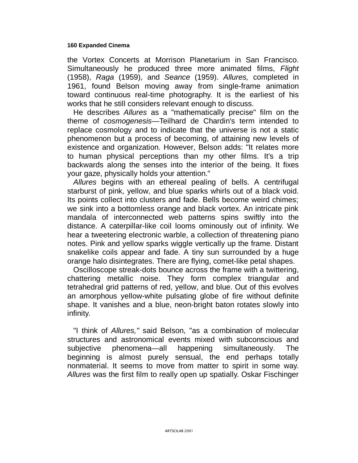the Vortex Concerts at Morrison Planetarium in San Francisco. Simultaneously he produced three more animated films, *Flight*  (1958), *Raga* (1959), and *Seance* (1959). *Allures,* completed in 1961, found Belson moving away from single-frame animation toward continuous real-time photography. It is the earliest of his works that he still considers relevant enough to discuss.

He describes *Allures* as a "mathematically precise" film on the theme of *cosmogenesis—* Teilhard de Chardin's term intended to replace cosmology and to indicate that the universe is not a static phenomenon but a process of becoming, of attaining new levels of existence and organization. However, Belson adds: "It relates more to human physical perceptions than my other films. It's a trip backwards along the senses into the interior of the being. It fixes your gaze, physically holds your attention."

*Allures* begins with an ethereal pealing of bells. A centrifugal starburst of pink, yellow, and blue sparks whirls out of a black void. Its points collect into clusters and fade. Bells become weird chimes; we sink into a bottomless orange and black vortex. An intricate pink mandala of interconnected web patterns spins swiftly into the distance. A caterpillar-like coil looms ominously out of infinity. We hear a tweetering electronic warble, a collection of threatening piano notes. Pink and yellow sparks wiggle vertically up the frame. Distant snakelike coils appear and fade. A tiny sun surrounded by a huge orange halo disintegrates. There are flying, comet-like petal shapes.

Oscilloscope streak-dots bounce across the frame with a twittering, chattering metallic noise. They form complex triangular and tetrahedral grid patterns of red, yellow, and blue. Out of this evolves an amorphous yellow-white pulsating globe of fire without definite shape. It vanishes and a blue, neon-bright baton rotates slowly into infinity.

"I think of *Allures,"* said Belson, "as a combination of molecular structures and astronomical events mixed with subconscious and subjective phenomena— all happening simultaneously. The beginning is almost purely sensual, the end perhaps totally nonmaterial. It seems to move from matter to spirit in some way. *Allures* was the first film to really open up spatially. Oskar Fischinger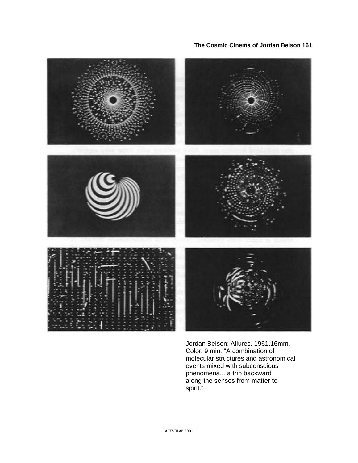### **The Cosmic Cinema of Jordan Belson 161**



Jordan Belson: Allures. 1961.16mm. Color. 9 min. "A combination of molecular structures and astronomical events mixed with subconscious phenomena... a trip backward along the senses from matter to spirit."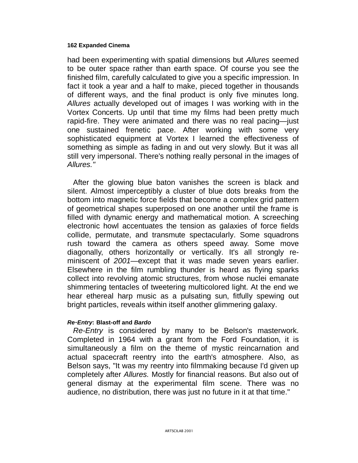had been experimenting with spatial dimensions but *Allures* seemed to be outer space rather than earth space. Of course you see the finished film, carefully calculated to give you a specific impression. In fact it took a year and a half to make, pieced together in thousands of different ways, and the final product is only five minutes long. *Allures* actually developed out of images I was working with in the Vortex Concerts. Up until that time my films had been pretty much rapid-fire. They were animated and there was no real pacing—just one sustained frenetic pace. After working with some very sophisticated equipment at Vortex I learned the effectiveness of something as simple as fading in and out very slowly. But it was all still very impersonal. There's nothing really personal in the images of *Allures."*

After the glowing blue baton vanishes the screen is black and silent. Almost imperceptibly a cluster of blue dots breaks from the bottom into magnetic force fields that become a complex grid pattern of geometrical shapes superposed on one another until the frame is filled with dynamic energy and mathematical motion. A screeching electronic howl accentuates the tension as galaxies of force fields collide, permutate, and transmute spectacularly. Some squadrons rush toward the camera as others speed away. Some move diagonally, others horizontally or vertically. It's all strongly reminiscent of 2001—except that it was made seven years earlier. Elsewhere in the film rumbling thunder is heard as flying sparks collect into revolving atomic structures, from whose nuclei emanate shimmering tentacles of tweetering multicolored light. At the end we hear ethereal harp music as a pulsating sun, fitfully spewing out bright particles, reveals within itself another glimmering galaxy.

## *Re-Entry***: Blast-off and** *Bardo*

*Re-Entry* is considered by many to be Belson's masterwork. Completed in 1964 with a grant from the Ford Foundation, it is simultaneously a film on the theme of mystic reincarnation and actual spacecraft reentry into the earth's atmosphere. Also, as Belson says, "It was my reentry into filmmaking because I'd given up completely after *Allures.* Mostly for financial reasons. But also out of general dismay at the experimental film scene. There was no audience, no distribution, there was just no future in it at that time."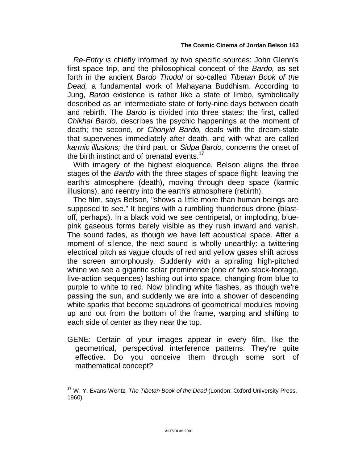### **The Cosmic Cinema of Jordan Belson 163**

*Re-Entry is* chiefly informed by two specific sources: John Glenn's first space trip, and the philosophical concept of the *Bardo,* as set forth in the ancient *Bardo Thodol* or so-called *Tibetan Book of the Dead,* a fundamental work of Mahayana Buddhism. According to Jung, *Bardo* existence is rather like a state of limbo, symbolically described as an intermediate state of forty-nine days between death and rebirth. The *Bardo* is divided into three states: the first, called *Chikhai Bardo,* describes the psychic happenings at the moment of death; the second, or *Chonyid Bardo,* deals with the dream-state that supervenes immediately after death, and with what are called *karmic illusions;* the third part, or *Sidpa Bardo,* concerns the onset of the birth instinct and of prenatal events.<sup>17</sup>

With imagery of the highest eloquence, Belson aligns the three stages of the *Bardo* with the three stages of space flight: leaving the earth's atmosphere (death), moving through deep space (karmic illusions), and reentry into the earth's atmosphere (rebirth).

The film, says Belson, "shows a little more than human beings are supposed to see." It begins with a rumbling thunderous drone (blastoff, perhaps). In a black void we see centripetal, or imploding, bluepink gaseous forms barely visible as they rush inward and vanish. The sound fades, as though we have left acoustical space. After a moment of silence, the next sound is wholly unearthly: a twittering electrical pitch as vague clouds of red and yellow gases shift across the screen amorphously. Suddenly with a spiraling high-pitched whine we see a gigantic solar prominence (one of two stock-footage, live-action sequences) lashing out into space, changing from blue to purple to white to red. Now blinding white flashes, as though we're passing the sun, and suddenly we are into a shower of descending white sparks that become squadrons of geometrical modules moving up and out from the bottom of the frame, warping and shifting to each side of center as they near the top.

GENE: Certain of your images appear in every film, like the geometrical, perspectival interference patterns. They're quite effective. Do you conceive them through some sort of mathematical concept?

<sup>17</sup> W. Y. Evans-Wentz, *The Tibetan Book of the Dead* (London: Oxford University Press, 1960).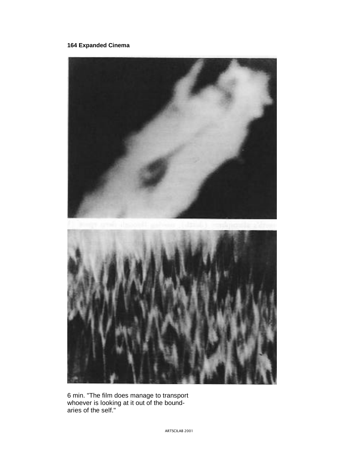

6 min. "The film does manage to transport whoever is looking at it out of the boundaries of the self."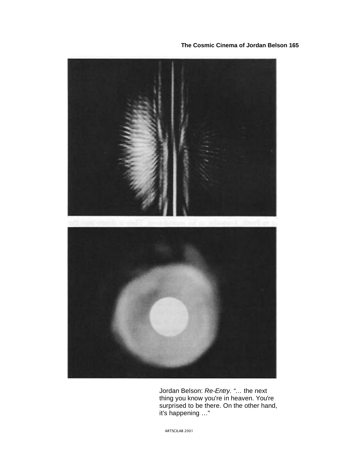### **The Cosmic Cinema of Jordan Belson 165**



Jordan Belson: *Re-Entry. "…* the next thing you know you're in heaven. You're surprised to be there. On the other hand, it's happening … "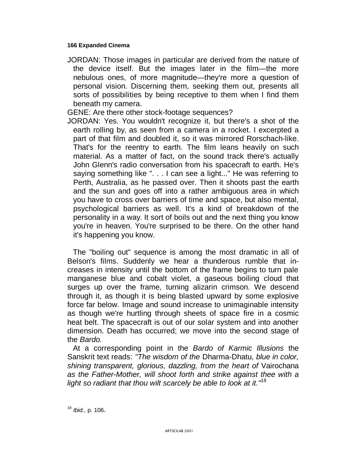- JORDAN: Those images in particular are derived from the nature of the device itself. But the images later in the film— the more nebulous ones, of more magnitude— they're more a question of personal vision. Discerning them, seeking them out, presents all sorts of possibilities by being receptive to them when I find them beneath my camera.
- GENE: Are there other stock-footage sequences?
- JORDAN: Yes. You wouldn't recognize it, but there's a shot of the earth rolling by, as seen from a camera in a rocket. I excerpted a part of that film and doubled it, so it was mirrored Rorschach-like. That's for the reentry to earth. The film leans heavily on such material. As a matter of fact, on the sound track there's actually John Glenn's radio conversation from his spacecraft to earth. He's saying something like ". . . I can see a light..." He was referring to Perth, Australia, as he passed over. Then it shoots past the earth and the sun and goes off into a rather ambiguous area in which you have to cross over barriers of time and space, but also mental, psychological barriers as well. It's a kind of breakdown of the personality in a way. It sort of boils out and the next thing you know you're in heaven. You're surprised to be there. On the other hand it's happening you know.

The "boiling out" sequence is among the most dramatic in all of Belson's films. Suddenly we hear a thunderous rumble that increases in intensity until the bottom of the frame begins to turn pale manganese blue and cobalt violet, a gaseous boiling cloud that surges up over the frame, turning alizarin crimson. We descend through it, as though it is being blasted upward by some explosive force far below. Image and sound increase to unimaginable intensity as though we're hurtling through sheets of space fire in a cosmic heat belt. The spacecraft is out of our solar system and into another dimension. Death has occurred; we move into the second stage of the *Bardo.*

At a corresponding point in the *Bardo of Karmic Illusions* the Sanskrit text reads: *"The wisdom of the* Dharma-Dhatu, *blue in color, shining transparent, glorious, dazzling, from the heart of* Vairochana *as the Father-Mother, will shoot forth and strike against thee with a light so radiant that thou wilt scarcely be able to look at it."*<sup>18</sup>

<sup>18</sup> *Ibid.,* p*.* 106.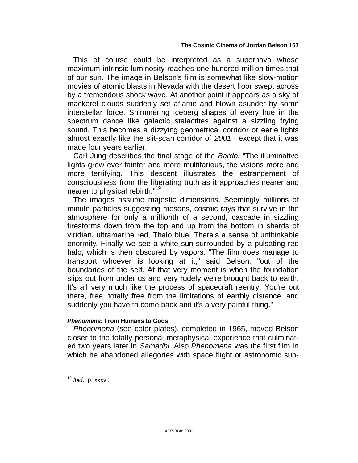This of course could be interpreted as a supernova whose maximum intrinsic luminosity reaches one-hundred million times that of our sun. The image in Belson's film is somewhat like slow-motion movies of atomic blasts in Nevada with the desert floor swept across by a tremendous shock wave. At another point it appears as a sky of mackerel clouds suddenly set aflame and blown asunder by some interstellar force. Shimmering iceberg shapes of every hue in the spectrum dance like galactic stalactites against a sizzling frying sound. This becomes a dizzying geometrical corridor or eerie lights almost exactly like the slit-scan corridor of *2001—* except that it was made four years earlier.

Carl Jung describes the final stage of the *Bardo:* "The illuminative lights grow ever fainter and more multifarious, the visions more and more terrifying. This descent illustrates the estrangement of consciousness from the liberating truth as it approaches nearer and nearer to physical rebirth."<sup>19</sup>

The images assume majestic dimensions. Seemingly millions of minute particles suggesting mesons, cosmic rays that survive in the atmosphere for only a millionth of a second, cascade in sizzling firestorms down from the top and up from the bottom in shards of viridian, ultramarine red, Thalo blue. There's a sense of unthinkable enormity. Finally we see a white sun surrounded by a pulsating red halo, which is then obscured by vapors. "The film does manage to transport whoever is looking at it," said Belson, "out of the boundaries of the self. At that very moment is when the foundation slips out from under us and very rudely we're brought back to earth. It's all very much like the process of spacecraft reentry. You're out there, free, totally free from the limitations of earthly distance, and suddenly you have to come back and it's a very painful thing."

## *Phenomena:* **From Humans to Gods**

*Phenomena* (see color plates), completed in 1965, moved Belson closer to the totally personal metaphysical experience that culminated two years later in *Samadhi.* Also *Phenomena* was the first film in which he abandoned allegories with space flight or astronomic sub-

<sup>19</sup> *Ibid*., p. xxxvi.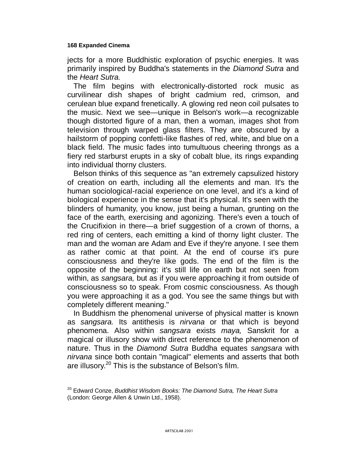jects for a more Buddhistic exploration of psychic energies. It was primarily inspired by Buddha's statements in the *Diamond Sutra* and the *Heart Sutra.*

The film begins with electronically-distorted rock music as curvilinear dish shapes of bright cadmium red, crimson, and cerulean blue expand frenetically. A glowing red neon coil pulsates to the music. Next we see— unique in Belson's work— a recognizable though distorted figure of a man, then a woman, images shot from television through warped glass filters. They are obscured by a hailstorm of popping confetti-like flashes of red, white, and blue on a black field. The music fades into tumultuous cheering throngs as a fiery red starburst erupts in a sky of cobalt blue, its rings expanding into individual thorny clusters.

Belson thinks of this sequence as "an extremely capsulized history of creation on earth, including all the elements and man. It's the human sociological-racial experience on one level, and it's a kind of biological experience in the sense that it's physical. It's seen with the blinders of humanity, you know, just being a human, grunting on the face of the earth, exercising and agonizing. There's even a touch of the Crucifixion in there— a brief suggestion of a crown of thorns, a red ring of centers, each emitting a kind of thorny light cluster. The man and the woman are Adam and Eve if they're anyone. I see them as rather comic at that point. At the end of course it's pure consciousness and they're like gods. The end of the film is the opposite of the beginning: it's still life on earth but not seen from within, as *sangsara,* but as if you were approaching it from outside of consciousness so to speak. From cosmic consciousness. As though you were approaching it as a god. You see the same things but with completely different meaning."

In Buddhism the phenomenal universe of physical matter is known as *sangsara.* Its antithesis is *nirvana* or that which is beyond phenomena. Also within *sangsara* exists *maya,* Sanskrit for a magical or illusory show with direct reference to the phenomenon of nature. Thus in the *Diamond Sutra* Buddha equates *sangsara* with *nirvana* since both contain "magical" elements and asserts that both are illusory.<sup>20</sup> This is the substance of Belson's film.

<sup>20</sup> Edward Conze, *Buddhist Wisdom Books: The Diamond Sutra, The Heart Sutra* (London: George Allen & Unwin Ltd., 1958).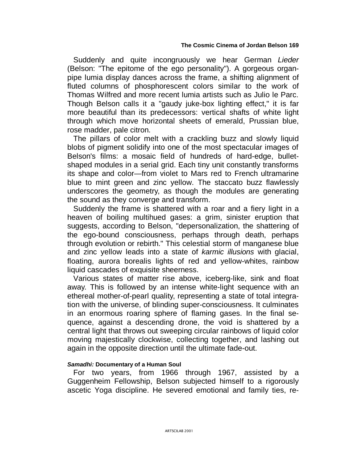Suddenly and quite incongruously we hear German *Lieder*  (Belson: "The epitome of the ego personality"). A gorgeous organpipe lumia display dances across the frame, a shifting alignment of fluted columns of phosphorescent colors similar to the work of Thomas Wilfred and more recent lumia artists such as Julio le Parc. Though Belson calls it a "gaudy juke-box lighting effect," it is far more beautiful than its predecessors: vertical shafts of white light through which move horizontal sheets of emerald, Prussian blue, rose madder, pale citron.

The pillars of color melt with a crackling buzz and slowly liquid blobs of pigment solidify into one of the most spectacular images of Belson's films: a mosaic field of hundreds of hard-edge, bulletshaped modules in a serial grid. Each tiny unit constantly transforms its shape and color— from violet to Mars red to French ultramarine blue to mint green and zinc yellow. The staccato buzz flawlessly underscores the geometry, as though the modules are generating the sound as they converge and transform.

Suddenly the frame is shattered with a roar and a fiery light in a heaven of boiling multihued gases: a grim, sinister eruption that suggests, according to Belson, "depersonalization, the shattering of the ego-bound consciousness, perhaps through death, perhaps through evolution or rebirth." This celestial storm of manganese blue and zinc yellow leads into a state of *karmic illusions* with glacial, floating, aurora borealis lights of red and yellow-whites, rainbow liquid cascades of exquisite sheerness.

Various states of matter rise above, iceberg-like, sink and float away. This is followed by an intense white-light sequence with an ethereal mother-of-pearl quality, representing a state of total integration with the universe, of blinding super-consciousness. It culminates in an enormous roaring sphere of flaming gases. In the final sequence, against a descending drone, the void is shattered by a central light that throws out sweeping circular rainbows of liquid color moving majestically clockwise, collecting together, and lashing out again in the opposite direction until the ultimate fade-out.

## *Samadhi:* **Documentary of a Human Soul**

For two years, from 1966 through 1967, assisted by a Guggenheim Fellowship, Belson subjected himself to a rigorously ascetic Yoga discipline. He severed emotional and family ties, re-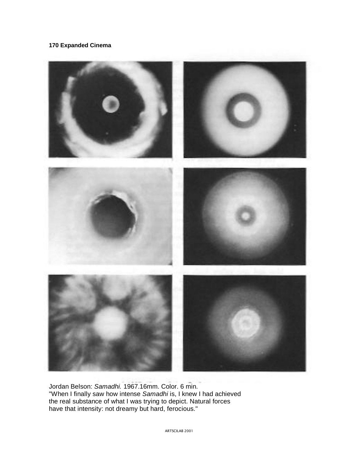

Jordan Belson: *Samadhi.* 1967.16mm. Color. 6 min. "When I finally saw how intense *Samadhi* is, I knew I had achieved the real substance of what I was trying to depict. Natural forces have that intensity: not dreamy but hard, ferocious."

ARTSCILAB 2001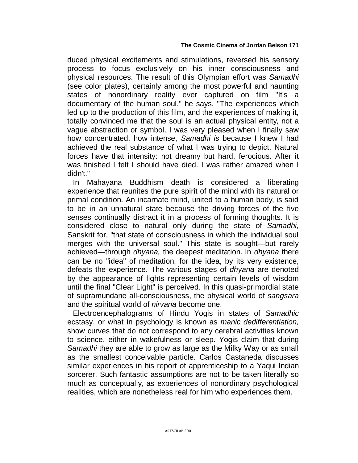duced physical excitements and stimulations, reversed his sensory process to focus exclusively on his inner consciousness and physical resources. The result of this Olympian effort was *Samadhi*  (see color plates), certainly among the most powerful and haunting states of nonordinary reality ever captured on film "It's a documentary of the human soul," he says. "The experiences which led up to the production of this film, and the experiences of making it, totally convinced me that the soul is an actual physical entity, not a vague abstraction or symbol. I was very pleased when I finally saw how concentrated, how intense, *Samadhi is* because I knew I had achieved the real substance of what I was trying to depict. Natural forces have that intensity: not dreamy but hard, ferocious. After it was finished I felt I should have died. I was rather amazed when I didn't."

In Mahayana Buddhism death is considered a liberating experience that reunites the pure spirit of the mind with its natural or primal condition. An incarnate mind, united to a human body, is said to be in an unnatural state because the driving forces of the five senses continually distract it in a process of forming thoughts. It is considered close to natural only during the state of *Samadhi,*  Sanskrit for, "that state of consciousness in which the individual soul merges with the universal soul." This state is sought—but rarely achieved— through *dhyana,* the deepest meditation. In *dhyana* there can be no "idea" of meditation, for the idea, by its very existence, defeats the experience. The various stages of *dhyana* are denoted by the appearance of lights representing certain levels of wisdom until the final "Clear Light" is perceived. In this quasi-primordial state of supramundane all-consciousness, the physical world of *sangsara*  and the spiritual world of *nirvana* become one.

Electroencephalograms of Hindu Yogis in states of *Samadhic*  ecstasy, or what in psychology is known as *manic dedifferentiation,* show curves that do not correspond to any cerebral activities known to science, either in wakefulness or sleep. Yogis claim that during *Samadhi* they are able to grow as large as the Milky Way or as small as the smallest conceivable particle. Carlos Castaneda discusses similar experiences in his report of apprenticeship to a Yaqui Indian sorcerer. Such fantastic assumptions are not to be taken literally so much as conceptually, as experiences of nonordinary psychological realities, which are nonetheless real for him who experiences them.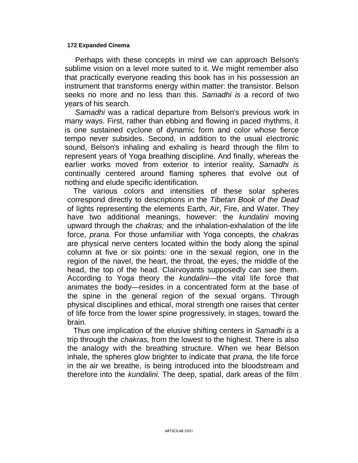Perhaps with these concepts in mind we can approach Belson's sublime vision on a level more suited to it. We might remember also that practically everyone reading this book has in his possession an instrument that transforms energy within matter: the transistor. Belson seeks no more and no less than this. *Samadhi is* a record of two years of his search.

*Samadhi* was a radical departure from Belson's previous work in many ways. First, rather than ebbing and flowing in paced rhythms, it is one sustained cyclone of dynamic form and color whose fierce tempo never subsides. Second, in addition to the usual electronic sound, Belson's inhaling and exhaling is heard through the film to represent years of Yoga breathing discipline. And finally, whereas the earlier works moved from exterior to interior reality, *Samadhi is* continually centered around flaming spheres that evolve out of nothing and elude specific identification.

The various colors and intensities of these solar spheres correspond directly to descriptions in the *Tibetan Book of the Dead* of lights representing the elements Earth, Air, Fire, and Water. They have two additional meanings, however: the *kundalini* moving upward through the *chakras;* and the inhalation-exhalation of the life force, *prana.* For those unfamiliar with Yoga concepts, the *chakras*  are physical nerve centers located within the body along the spinal column at five or six points: one in the sexual region, one in the region of the navel, the heart, the throat, the eyes, the middle of the head, the top of the head. Clairvoyants supposedly can see them. According to Yoga theory the *kundalini—* the vital life force that animates the body— resides in a concentrated form at the base of the spine in the general region of the sexual organs. Through physical disciplines and ethical, moral strength one raises that center of life force from the lower spine progressively, in stages, toward the brain.

Thus one implication of the elusive shifting centers in *Samadhi is* a trip through the *chakras,* from the lowest to the highest. There is also the analogy with the breathing structure. When we hear Belson inhale, the spheres glow brighter to indicate that *prana,* the life force in the air we breathe, is being introduced into the bloodstream and therefore into the *kundalini.* The deep, spatial, dark areas of the film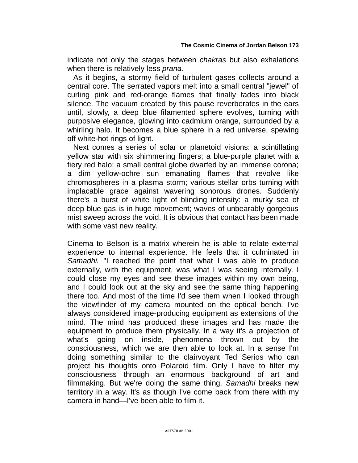indicate not only the stages between *chakras* but also exhalations when there is relatively less *prana.*

As it begins, a stormy field of turbulent gases collects around a central core. The serrated vapors melt into a small central "jewel" of curling pink and red-orange flames that finally fades into black silence. The vacuum created by this pause reverberates in the ears until, slowly, a deep blue filamented sphere evolves, turning with purposive elegance, glowing into cadmium orange, surrounded by a whirling halo. It becomes a blue sphere in a red universe, spewing off white-hot rings of light.

Next comes a series of solar or planetoid visions: a scintillating yellow star with six shimmering fingers; a blue-purple planet with a fiery red halo; a small central globe dwarfed by an immense corona; a dim yellow-ochre sun emanating flames that revolve like chromospheres in a plasma storm; various stellar orbs turning with implacable grace against wavering sonorous drones. Suddenly there's a burst of white light of blinding intensity: a murky sea of deep blue gas is in huge movement; waves of unbearably gorgeous mist sweep across the void. It is obvious that contact has been made with some vast new reality.

Cinema to Belson is a matrix wherein he is able to relate external experience to internal experience. He feels that it culminated in *Samadhi.* "I reached the point that what I was able to produce externally, with the equipment, was what I was seeing internally. I could close my eyes and see these images within my own being, and I could look out at the sky and see the same thing happening there too. And most of the time I'd see them when I looked through the viewfinder of my camera mounted on the optical bench. I've always considered image-producing equipment as extensions of the mind. The mind has produced these images and has made the equipment to produce them physically. In a way it's a projection of what's going on inside, phenomena thrown out by the consciousness, which we are then able to look at. In a sense I'm doing something similar to the clairvoyant Ted Serios who can project his thoughts onto Polaroid film. Only I have to filter my consciousness through an enormous background of art and filmmaking. But we're doing the same thing. *Samadhi* breaks new territory in a way. It's as though I've come back from there with my camera in hand— I've been able to film it.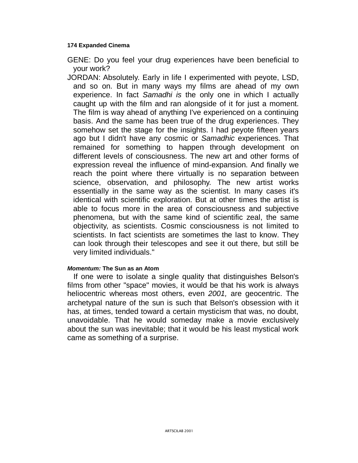GENE: Do you feel your drug experiences have been beneficial to your work?

JORDAN: Absolutely. Early in life I experimented with peyote, LSD, and so on. But in many ways my films are ahead of my own experience. In fact *Samadhi is* the only one in which I actually caught up with the film and ran alongside of it for just a moment. The film is way ahead of anything I've experienced on a continuing basis. And the same has been true of the drug experiences. They somehow set the stage for the insights. I had peyote fifteen years ago but I didn't have any cosmic or *Samadhic* experiences. That remained for something to happen through development on different levels of consciousness. The new art and other forms of expression reveal the influence of mind-expansion. And finally we reach the point where there virtually is no separation between science, observation, and philosophy. The new artist works essentially in the same way as the scientist. In many cases it's identical with scientific exploration. But at other times the artist is able to focus more in the area of consciousness and subjective phenomena, but with the same kind of scientific zeal, the same objectivity, as scientists. Cosmic consciousness is not limited to scientists. In fact scientists are sometimes the last to know. They can look through their telescopes and see it out there, but still be very limited individuals."

### *Momentum:* **The Sun as an Atom**

If one were to isolate a single quality that distinguishes Belson's films from other "space" movies, it would be that his work is always heliocentric whereas most others, even *2001,* are geocentric. The archetypal nature of the sun is such that Belson's obsession with it has, at times, tended toward a certain mysticism that was, no doubt, unavoidable. That he would someday make a movie exclusively about the sun was inevitable; that it would be his least mystical work came as something of a surprise.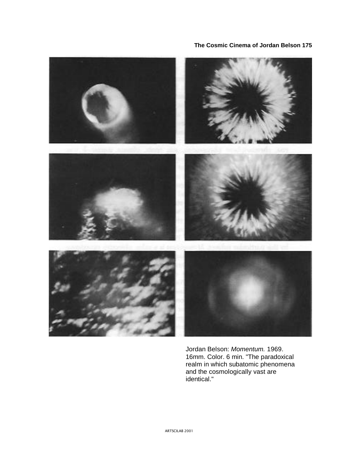### **The Cosmic Cinema of Jordan Belson 175**



Jordan Belson: *Momentum.* 1969. 16mm. Color. 6 min. "The paradoxical realm in which subatomic phenomena and the cosmologically vast are identical."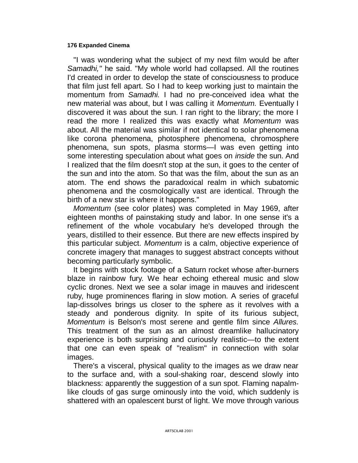"I was wondering what the subject of my next film would be after *Samadhi,"* he said. "My whole world had collapsed. All the routines I'd created in order to develop the state of consciousness to produce that film just fell apart. So I had to keep working just to maintain the momentum from *Samadhi.* I had no pre-conceived idea what the new material was about, but I was calling it *Momentum.* Eventually I discovered it was about the sun. I ran right to the library; the more I read the more I realized this was exactly what *Momentum* was about. All the material was similar if not identical to solar phenomena like corona phenomena, photosphere phenomena, chromosphere phenomena, sun spots, plasma storms—I was even getting into some interesting speculation about what goes on *inside* the sun. And I realized that the film doesn't stop at the sun, it goes to the center of the sun and into the atom. So that was the film, about the sun as an atom. The end shows the paradoxical realm in which subatomic phenomena and the cosmologically vast are identical. Through the birth of a new star is where it happens."

*Momentum* (see color plates) was completed in May 1969, after eighteen months of painstaking study and labor. In one sense it's a refinement of the whole vocabulary he's developed through the years, distilled to their essence. But there are new effects inspired by this particular subject. *Momentum* is a calm, objective experience of concrete imagery that manages to suggest abstract concepts without becoming particularly symbolic.

It begins with stock footage of a Saturn rocket whose after-burners blaze in rainbow fury. We hear echoing ethereal music and slow cyclic drones. Next we see a solar image in mauves and iridescent ruby, huge prominences flaring in slow motion. A series of graceful lap-dissolves brings us closer to the sphere as it revolves with a steady and ponderous dignity. In spite of its furious subject, *Momentum* is Belson's most serene and gentle film since *Allures.*  This treatment of the sun as an almost dreamlike hallucinatory experience is both surprising and curiously realistic— to the extent that one can even speak of "realism" in connection with solar images.

There's a visceral, physical quality to the images as we draw near to the surface and, with a soul-shaking roar, descend slowly into blackness: apparently the suggestion of a sun spot. Flaming napalmlike clouds of gas surge ominously into the void, which suddenly is shattered with an opalescent burst of light. We move through various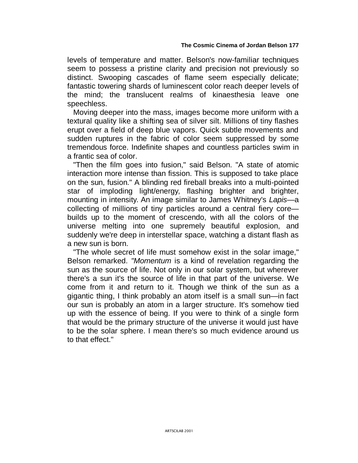levels of temperature and matter. Belson's now-familiar techniques seem to possess a pristine clarity and precision not previously so distinct. Swooping cascades of flame seem especially delicate; fantastic towering shards of luminescent color reach deeper levels of the mind; the translucent realms of kinaesthesia leave one speechless.

Moving deeper into the mass, images become more uniform with a textural quality like a shifting sea of silver silt. Millions of tiny flashes erupt over a field of deep blue vapors. Quick subtle movements and sudden ruptures in the fabric of color seem suppressed by some tremendous force. Indefinite shapes and countless particles swim in a frantic sea of color.

"Then the film goes into fusion," said Belson. "A state of atomic interaction more intense than fission. This is supposed to take place on the sun, fusion." A blinding red fireball breaks into a multi-pointed star of imploding light/energy, flashing brighter and brighter, mounting in intensity. An image similar to James Whitney's *Lapis*—a collecting of millions of tiny particles around a central fiery core builds up to the moment of crescendo, with all the colors of the universe melting into one supremely beautiful explosion, and suddenly we're deep in interstellar space, watching a distant flash as a new sun is born.

"The whole secret of life must somehow exist in the solar image," Belson remarked. *"Momentum* is a kind of revelation regarding the sun as the source of life. Not only in our solar system, but wherever there's a sun it's the source of life in that part of the universe. We come from it and return to it. Though we think of the sun as a gigantic thing, I think probably an atom itself is a small sun— in fact our sun is probably an atom in a larger structure. It's somehow tied up with the essence of being. If you were to think of a single form that would be the primary structure of the universe it would just have to be the solar sphere. I mean there's so much evidence around us to that effect."